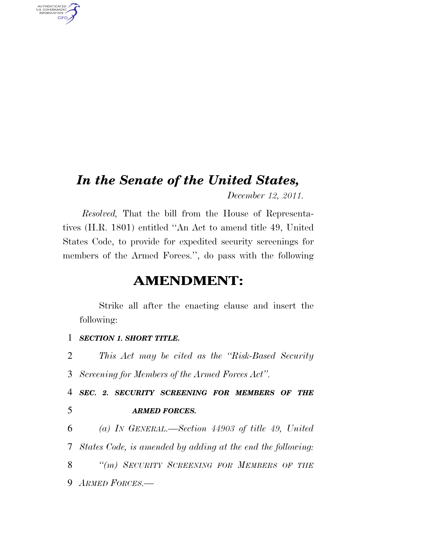## *In the Senate of the United States,*

*December 12, 2011.* 

*Resolved,* That the bill from the House of Representatives (H.R. 1801) entitled ''An Act to amend title 49, United States Code, to provide for expedited security screenings for members of the Armed Forces.'', do pass with the following

## **AMENDMENT:**

Strike all after the enacting clause and insert the following:

## 1 *SECTION 1. SHORT TITLE.*

AUTHENTICATED<br>U.S. GOVERNMENT<br>INFORMATION

**GPO** 

2 *This Act may be cited as the ''Risk-Based Security*  3 *Screening for Members of the Armed Forces Act''.* 

4 *SEC. 2. SECURITY SCREENING FOR MEMBERS OF THE*  5 *ARMED FORCES.* 

 *(a) IN GENERAL.—Section 44903 of title 49, United States Code, is amended by adding at the end the following: ''(m) SECURITY SCREENING FOR MEMBERS OF THE ARMED FORCES.—*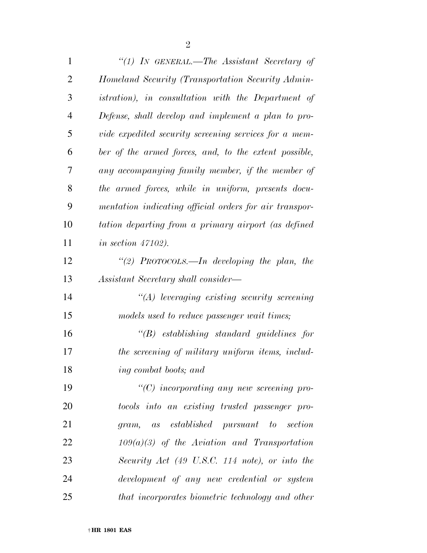| $\mathbf{1}$   | "(1) IN GENERAL.—The Assistant Secretary of                |
|----------------|------------------------------------------------------------|
| $\overline{2}$ | Homeland Security (Transportation Security Admin-          |
| 3              | <i>istration</i> ), in consultation with the Department of |
| $\overline{4}$ | Defense, shall develop and implement a plan to pro-        |
| 5              | vide expedited security screening services for a mem-      |
| 6              | ber of the armed forces, and, to the extent possible,      |
| 7              | any accompanying family member, if the member of           |
| 8              | the armed forces, while in uniform, presents docu-         |
| 9              | mentation indicating official orders for air transpor-     |
| 10             | tation departing from a primary airport (as defined        |
| 11             | in section $47102$ ).                                      |
| 12             | "(2) PROTOCOLS.—In developing the plan, the                |
| 13             | Assistant Secretary shall consider—                        |
| 14             | "(A) leveraging existing security screening                |
| 15             | models used to reduce passenger wait times;                |
| 16             | $\lq\lq B$ establishing standard guidelines for            |
| 17             | the screening of military uniform items, includ-           |
| 18             | ing combat boots; and                                      |
| 19             | $"$ (C) incorporating any new screening pro-               |
| 20             | tocols into an existing trusted passenger pro-             |
| 21             | established pursuant to section<br>gram,<br>as             |
| 22             | $109(a)(3)$ of the Aviation and Transportation             |
| 23             | Security Act (49 U.S.C. 114 note), or into the             |
| 24             | development of any new credential or system                |
| 25             | that incorporates biometric technology and other           |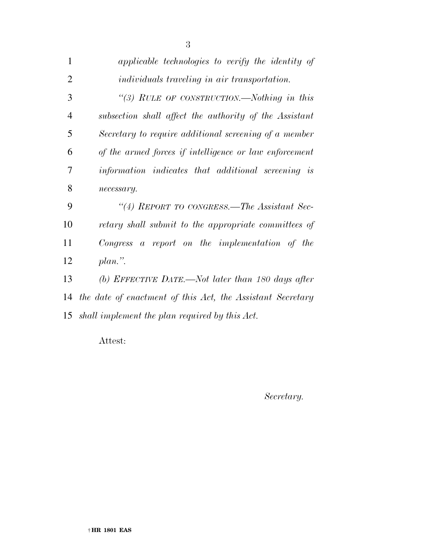| 1              | applicable technologies to verify the identity of          |
|----------------|------------------------------------------------------------|
| $\overline{2}$ | <i>individuals traveling in air transportation.</i>        |
| 3              | "(3) RULE OF CONSTRUCTION.—Nothing in this                 |
| $\overline{4}$ | subsection shall affect the authority of the Assistant     |
| 5              | Secretary to require additional screening of a member      |
| 6              | of the armed forces if intelligence or law enforcement     |
| 7              | information indicates that additional screening is         |
| 8              | necessary.                                                 |
| 9              | "(4) REPORT TO CONGRESS.—The Assistant Sec-                |
| 10             | retary shall submit to the appropriate committees of       |
| 11             | $Congress$ a report on the implementation of the           |
| 12             | $plan.$ ".                                                 |
| 13             | (b) EFFECTIVE DATE.—Not later than 180 days after          |
| 14             | the date of enactment of this Act, the Assistant Secretary |
| 15             | shall implement the plan required by this Act.             |
|                |                                                            |

Attest:

*Secretary.*